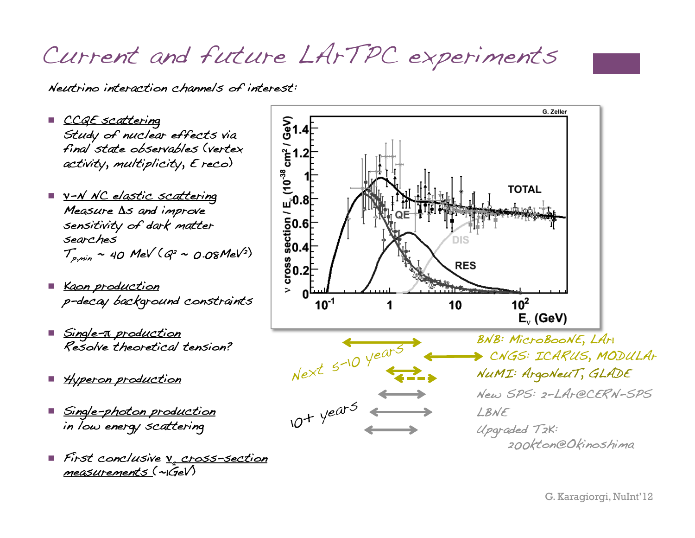Current and future LArTPC experiments

 $(10^{38}$ 

Neutrino interaction channels of interest:!

- CCQE scattering Study of nuclear effects via final state observables (vertex! activity, multiplicity,  $E$  reco)
- <u>ν-Ν NC elastic scattering</u> Measure  $\Delta s$  and improve sensitivity of dark matter searches! Sensitivity of dark matter<br>
Searches<br>  $T_{p,min} \sim 40$  MeV ( $Q^2 \sim 0.08$ MeV<sup>2</sup>)<br>  $\begin{bmatrix} 0.6 \\ 0.04 \\ 0.02 \end{bmatrix}$  = 0.08MeV<sup>2</sup>)
- Kaon production p-decay background constraints !
- <u>■ Single-π production</u> Resolve theoretical tension?!
- <u>Wyperon production</u>
- <u>Single-photon production</u> in low energy scattering!
- First conclusive <u>v. cross-section</u>  $measurable$  (~ $\overline{GeV}$ )